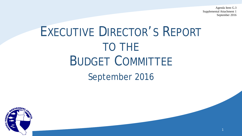Agenda Item G.3 Supplemental Attachment 1 September 2016

1

# EXECUTIVE DIRECTOR'S REPORT TO THE BUDGET COMMITTEE September 2016

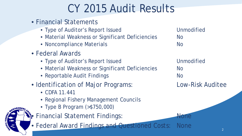# CY 2015 Audit Results

- Financial Statements
	- Type of Auditor's Report Issued by a metabolic Unmodified
	- Material Weakness or Significant Deficiencies Mo
	- Noncompliance Materials **No. 2018** No.
- Federal Awards
	- Type of Auditor's Report Issued by a metabolic Unmodified
	- Material Weakness or Significant Deficiencies Mo
	- Reportable Audit Findings **No. 2018** No.
- Identification of Major Programs: Low-Risk Auditee
	- CDFA 11.441
	- Regional Fishery Management Councils
	- Type B Program (>\$750,000)
- Financial Statement Findings: None
- Federal Award Findings and Questioned Costs: None

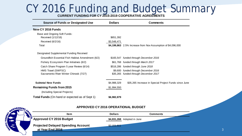# CY 2016 Funding and Budget Summary

**CURRENT FUNDING FOR CY 2015-2019 COOPERATIVE AGREEMENTS**

| <b>Source of Funds or Designated Use</b>              | <b>Dollars</b> | <b>Comments</b>                                              |
|-------------------------------------------------------|----------------|--------------------------------------------------------------|
| New CY 2016 Funds                                     |                |                                                              |
| Base and Ongoing Soft Funds:                          |                |                                                              |
| Received (1/12/16)                                    | \$651,392      |                                                              |
| Received (6/2/16)                                     | \$3,548,471    |                                                              |
| Total                                                 |                | \$4,199,863 2.5% Increase from Nov Assumption of \$4,096,000 |
| Designated Supplemental Funding Received              |                |                                                              |
| Groundfish Essential Fish Habitat Amendment (6/2)     |                | \$165,547 funded through December 2016                       |
| Fishery Ecosystem Plan Initiatives (6/2)              |                | \$61,768 funded through March 2017                           |
| Catch Share Program 5 year Review (6/14)              |                | \$516,286 funded through June 2018                           |
| HMS Travel (SWFSC)                                    |                | \$9,600 funded through December 2016                         |
| Sacramento River Winter Chinook (7/27)                |                | \$35,265 funded through December 2017                        |
| <b>Subtotal New Funds</b>                             | \$4,988,329    | \$35,265 Increase in Special Project Funds since June        |
| <b>Remaining Funds from 2015</b>                      | \$1,994,550    |                                                              |
| (Including Special Projects)                          |                |                                                              |
| <b>Total Funds</b> (On hand or expected as of Sept 1) | \$6,982,879    |                                                              |



#### **APPROVED CY 2016 OPERATIONAL BUDGET**

| <b>Item</b>                                                   | <b>Dollars</b>              | Comments |  |
|---------------------------------------------------------------|-----------------------------|----------|--|
| <b>Approved CY 2016 Budget</b>                                | \$4,831,268 Adopted in June |          |  |
| <b>Projected Delayed Spending Account</b><br>at Year End 2016 | \$2,151,611                 |          |  |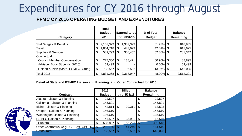## Expenditures for CY 2016 through August

#### **PFMC CY 2016 OPERATING BUDGET AND EXPENDITURES**

|                                                                     |          | <b>Total</b><br><b>Budget</b> |                      | <b>Expenditures</b>  | % of Total               | <b>Balance</b>     |
|---------------------------------------------------------------------|----------|-------------------------------|----------------------|----------------------|--------------------------|--------------------|
| Category                                                            |          | 2016                          |                      | thru 8/31/16         | <b>Budget</b>            | Remaining          |
| <b>Staff Wages &amp; Benefits</b><br>Travel                         | \$<br>\$ | 2,151,329<br>1,054,718        | $\mathfrak{L}$<br>\$ | 1,332,393<br>443,093 | 61.93% \$<br>42.01% \$   | 818,935<br>611,625 |
| Supplies & Services<br><b>Contractual</b>                           | \$       | 589,799                       | \$                   | 308,457              | 52.30% \$                | 281,342            |
| <b>Council Member Compensation</b><br>Advisory Body Stipends (2016) | \$<br>\$ | 227,366<br>69,499             | \$<br>\$             | 138,471              | 60.90% \$<br>$0.00\%$ \$ | 88,895<br>69,499   |
| Liaison & Plan (State, PSMFC, Other)                                | \$       | 738,557                       |                      | 96,532               | 13.07% \$                | 642,025            |
| Total 2016                                                          | \$       | 4,831,268                     | \$                   | 2,318,947            | 48.00% \$                | 2,512,321          |

#### **Detail of State and PSMFC Liaison and Planning, and Other Contractual for 2016**

|                                              |    | 2016          |                           | <b>Billed</b> |             | <b>Balance</b> |
|----------------------------------------------|----|---------------|---------------------------|---------------|-------------|----------------|
| <b>Contract</b>                              |    | <b>Budget</b> |                           | thru 8/31/16  |             | Remaining      |
| Alaska - Liaison & Planning                  | \$ | 22,527        |                           |               | \$          | 22,527         |
| California - Liaison & Planning              | \$ | 145,691       |                           |               | \$          | 145,691        |
| Idaho - Liaison & Planning                   | \$ | 42,814        | \$                        | 29,311        | \$          | 13,503         |
| Oregon - Liaison & Planning                  | \$ | 146,619       |                           |               | \$          | 146,619        |
| Washington-Liaison & Planning                | \$ | 136,619       |                           |               | \$          | 136,619        |
| PSMFC-Liaison & Planning                     | \$ | 41,537        | \$                        | 25,981        | \$          | 15,556         |
| Subtotal                                     | \$ | 535,807       | \$                        | 55,292        | ₾<br>D      | 480,515        |
| Other Contractual (e.g., GF Spx, CPS, IQ) \$ |    | 202,750       | $\boldsymbol{\mathsf{S}}$ | 41,240        | \$          | 161,510        |
| <b>Grand Total</b>                           | S  | 738,557       | \$                        | 96,532        | $\mathbb S$ | 642,025        |



4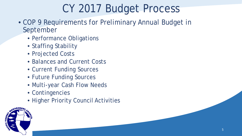# CY 2017 Budget Process

- COP 9 Requirements for Preliminary Annual Budget in September
	- Performance Obligations
	- Staffing Stability
	- Projected Costs
	- Balances and Current Costs
	- Current Funding Sources
	- Future Funding Sources
	- Multi-year Cash Flow Needs
	- Contingencies
	- Higher Priority Council Activities

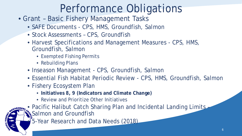- Grant Basic Fishery Management Tasks
	- SAFE Documents CPS, HMS, Groundfish, Salmon
	- Stock Assessments CPS, Groundfish
	- Harvest Specifications and Management Measures CPS, HMS, Groundfish, Salmon
		- Exempted Fishing Permits
		- Rebuilding Plans
	- Inseason Management CPS, Groundfish, Salmon
	- Essential Fish Habitat Periodic Review CPS, HMS, Groundfish, Salmon
	- Fishery Ecosystem Plan
		- **Initiatives 8, 9 (Indicators and Climate Change)**
		- Review and Prioritize Other Initiatives
	- Pacific Halibut Catch Sharing Plan and Incidental Landing Limits & Salmon and Groundfish
	- 5-Year Research and Data Needs (2018)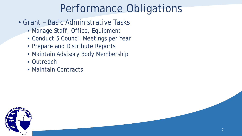- Grant Basic Administrative Tasks
	- Manage Staff, Office, Equipment
	- Conduct 5 Council Meetings per Year
	- Prepare and Distribute Reports
	- Maintain Advisory Body Membership
	- Outreach
	- Maintain Contracts

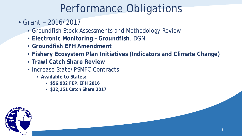- Grant 2016/2017
	- Groundfish Stock Assessments and Methodology Review
	- **Electronic Monitoring – Groundfish**, DGN
	- **Groundfish EFH Amendment**
	- **Fishery Ecosystem Plan Initiatives (Indicators and Climate Change)**
	- **Trawl Catch Share Review**
	- Increase State/PSMFC Contracts
		- **Available to States:**
			- **\$56,902 FEP, EFH 2016**
			- **\$22,151 Catch Share 2017**

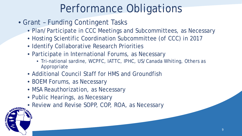- Grant Funding Contingent Tasks
	- Plan/Participate in CCC Meetings and Subcommittees, as Necessary
	- Hosting Scientific Coordination Subcommittee (of CCC) in 2017
	- Identify Collaborative Research Priorities
	- Participate in International Forums, as Necessary
		- Tri-national sardine, WCPFC, IATTC, IPHC, US/Canada Whiting, Others as Appropriate
	- Additional Council Staff for HMS and Groundfish
	- BOEM Forums, as Necessary
	- MSA Reauthorization, as Necessary
	- Public Hearings, as Necessary
	- Review and Revise SOPP, COP, ROA, as Necessary

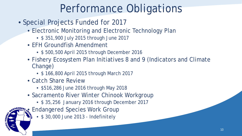- Special Projects Funded for 2017
	- Electronic Monitoring and Electronic Technology Plan
		- \$ 351,900 July 2015 through June 2017
	- EFH Groundfish Amendment
		- \$ 500,500 April 2015 through December 2016
	- Fishery Ecosystem Plan Initiatives 8 and 9 (Indicators and Climate Change)
		- \$ 166,800 April 2015 through March 2017
	- Catch Share Review
		- \$516,286 June 2016 through May 2018
	- Sacramento River Winter Chinook Workgroup
		- \$ 35,256 January 2016 through December 2017
	- **Endangered Species Work Group** 
		- \$ 30,000 June 2013 Indefinitely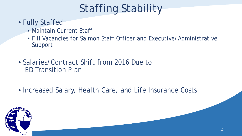# Staffing Stability

- Fully Staffed
	- Maintain Current Staff
	- Fill Vacancies for Salmon Staff Officer and Executive/Administrative Support
- Salaries/Contract Shift from 2016 Due to ED Transition Plan
- Increased Salary, Health Care, and Life Insurance Costs

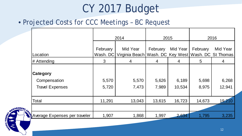# CY 2017 Budget

### • Projected Costs for CCC Meetings – BC Request

|                                                           |                      | 2014                       |                | 2015            | 2016           |                                                    |  |  |
|-----------------------------------------------------------|----------------------|----------------------------|----------------|-----------------|----------------|----------------------------------------------------|--|--|
| Location                                                  | February<br>Wash. DC | Mid Year<br>Virginia Beach | February       | Mid Year        | February       | Mid Year<br>Wash. DC Key West   Wash. DC St Thomas |  |  |
| # Attending                                               | 3                    | $\overline{4}$             | 4              | 4               | 5              | 4                                                  |  |  |
| <b>Category</b><br>Compensation<br><b>Travel Expenses</b> | 5,570<br>5,720       | 5,570<br>7,473             | 5,626<br>7,989 | 6,189<br>10,534 | 5,698<br>8,975 | 6,268<br>12,941                                    |  |  |
| Total                                                     | 11,291               | 13,043                     | 13,615         | 16,723          | 14,673         | 19,210                                             |  |  |
|                                                           |                      |                            |                |                 |                |                                                    |  |  |
| Average Expenses per traveler                             | 1,907                | 1,868                      | 1,997          | 2,634           | 1,795          | 3,235                                              |  |  |

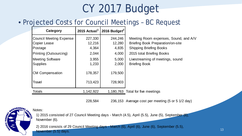# CY 2017 Budget

### • Projected Costs for Council Meetings – BC Request

| Category                       |           | 2015 Actual <sup>1</sup>   2016 Budget <sup>2</sup> |                                          |
|--------------------------------|-----------|-----------------------------------------------------|------------------------------------------|
| <b>Council Meeting Expense</b> | 227,330   | 244,246                                             | Meeting Room expenses, Sound, and A/V    |
| <b>Copier Lease</b>            | 12,216    | 12,280                                              | <b>Briefing Book Preparation/on-site</b> |
| Postage                        | 4,364     | 4,835                                               | <b>Shipping Briefing Books</b>           |
| <b>Printing (Outsourcing)</b>  | 2,044     | 4,000                                               | 2015 total Briefing Books                |
| Meeting Software               | 3,955     | 5,000                                               | Livestreaming of meetings, sound         |
| <b>Supplies</b>                | 1,233     | 2,000                                               | <b>Briefing Book</b>                     |
| <b>CM Compensation</b>         | 178,357   | 179,500                                             |                                          |
| Travel                         | 713,423   | 728,903                                             |                                          |
| <b>Totals</b>                  | 1,142,922 |                                                     | 1,180,763 Total for five meetings        |
|                                |           |                                                     |                                          |

228,584 236,153 Average cost per meeting (5 or 5 1/2 day)



Notes:

1) 2015 consisted of 27 Council Meeting days - March (4.5), April (5.5), June (5), September (6), November (6).

2) 2016 consists of 29 Council Meeting days - March (6), April (6), June (6), September (5.5), November (5.5) days.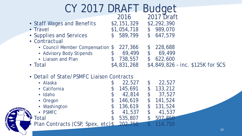# CY 2017 DRAFT Budget

|                            | <b>ZU16</b> | ZUTT Draft  |
|----------------------------|-------------|-------------|
| • Staff Wages and Benefits | \$2,151,329 | \$2,292,390 |
| • Travel                   | \$1,054,718 | \$989,070   |
| • Supplies and Services    | \$589,799   | \$647,579   |
| • Contractual              |             |             |

- Council Member Compensation \$ 227,366 • Advisory Body Stipends  $$69,499$  \$69,499 • Liaison and Plan  $$738,557$   $$622,600$ • Total **\$4,831,268** \$4,849,826 – inc. \$125K for SCS
- Detail of State/PSMFC Liaison Contracts

| • Alaska                                  | 22,527  | 22,527  |
|-------------------------------------------|---------|---------|
| • California                              | 145,691 | 133,212 |
| · Idaho                                   | 42,814  | 37,527  |
| • Oregon                                  | 146,619 | 141,524 |
| • Washington                              | 136,619 | 131,524 |
| • PSMFC                                   | 41,537  | 41,537  |
| Total                                     | 535,807 | 507.850 |
| Plan Contracts (CSP, Spex, etc) \$202,750 |         |         |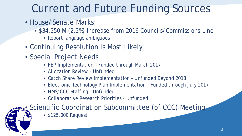# Current and Future Funding Sources

- House/Senate Marks:
	- \$34,250 M (2.2%) Increase from 2016 Councils/Commissions Line
		- Report language ambiguous
- Continuing Resolution is Most Likely
- Special Project Needs
	- FEP Implementation Funded through March 2017
	- Allocation Review Unfunded
	- Catch Share Review Implementation Unfunded Beyond 2018
	- Electronic Technology Plan Implementation Funded through July 2017
	- HMS/CCC Staffing Unfunded
	- Collaborative Research Priorities Unfunded

**WAGEMEN,** Scientific Coordination Subcommittee (of CCC) Meeting

- 
- \$125,000 Request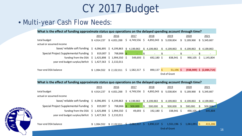# CY 2017 Budget

### • Multi-year Cash Flow Needs:

| What is the effect of funding approximate status quo operations on the delayed spending account through time? |             |             |    |                 |                |              |                |              |              |                |    |                              |
|---------------------------------------------------------------------------------------------------------------|-------------|-------------|----|-----------------|----------------|--------------|----------------|--------------|--------------|----------------|----|------------------------------|
|                                                                                                               | 2015        | 2016        |    | 2017            |                | 2018         |                | 2019         |              | 2020           |    | 2021                         |
| total budget                                                                                                  | \$4,914,237 | \$4,831,268 |    | \$4,749,556     |                | 4,892,043 \$ |                | 5,038,804    | $\mathbb{S}$ | 5,189,968      | \$ | 5,345,667                    |
| actual or assumed income                                                                                      |             |             |    |                 |                |              |                |              |              |                |    |                              |
| base/ reliable soft funding $\;$ \$ 4,096,895 $\;$ \$ 4,199,863                                               |             |             |    | \$4,199,863     | $\mathfrak{S}$ | 4,199,863    | S.             | 4,199,863    | \$           | 4,199,863      | S. | 4,199,863                    |
| Special Project Supplemental Funding \$                                                                       | 819,007 \$  | 768,866 \$  |    |                 | $\sqrt{3}$     |              | \$             |              | \$           |                | \$ |                              |
| funding from the DSA $\;$ \$ 1,425,898 $\;$ \$ 1,994,550 $\;$ \$                                              |             |             |    | $549,693$ \$    |                | 692,180 \$   |                | 838,941 \$   |              | 990,105        | \$ | 1,145,804                    |
| year end budget surplus/deficit $\sin 1.427,563$ $\sin 2.132,011$                                             |             |             |    |                 |                |              |                |              |              |                |    |                              |
| Year-end DSA balance                                                                                          | \$1,994,552 | \$2,132,011 |    | $$1,582,317$ \$ |                | $890,137$ \$ |                | $51,196$ \$  |              |                |    | $(938,909)$ \$ $(2,084,714)$ |
|                                                                                                               |             |             |    |                 |                |              |                | End of Grant |              |                |    |                              |
| What is the effect of funding approximate status quo operations on the delayed spending account through time? |             |             |    |                 |                |              |                |              |              |                |    |                              |
|                                                                                                               | 2015        | 2016        |    | 2017            |                | 2018         |                | 2019         |              | 2020           |    | 2021                         |
| total budget                                                                                                  | \$4,914,237 | \$4,831,268 |    | $$4,749,556$ \$ |                | 4,892,043 \$ |                | 5,038,804    | \$           | 5,189,968      | \$ | 5,345,667                    |
| actual or assumed income                                                                                      |             |             |    |                 |                |              |                |              |              |                |    |                              |
| base/ reliable soft funding \$ 4,096,895 \$ 4,199,863                                                         |             |             |    | \$4,199,863     | \$             | 4,199,863    | \$             | 4,199,863    | \$           | 4,199,863      | \$ | 4,199,863                    |
| Special Project Supplemental Funding \$                                                                       | 819,007 \$  | 768,866 \$  |    | 500,000         | $\sqrt{3}$     | 500,000      | $\mathfrak{L}$ | 500,000      | \$           | 500,000        | S. | 500,000                      |
| funding from the DSA \$ 1,425,898 \$ 1,994,550 \$                                                             |             |             |    | 49,693 \$       |                | 192,180 \$   |                | 338,941 \$   |              | $490,105$ \$   |    | 645,804                      |
| year end budget surplus/deficit $\sin 1.427,563$ $\sin 2.132,011$                                             |             |             |    |                 |                |              |                |              |              |                |    |                              |
|                                                                                                               |             |             |    |                 |                |              |                |              |              |                |    |                              |
| Year-end DSA balance                                                                                          | \$1,994,552 | \$2,132,011 | S. | $2,082,317$ \$  |                | 1,890,137    | -Ŝ             | 1,551,196 \$ |              | $1,061,091$ \$ |    | 415,286                      |

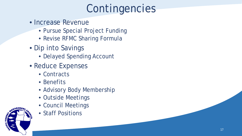# Contingencies

- Increase Revenue
	- Pursue Special Project Funding
	- Revise RFMC Sharing Formula
- Dip into Savings
	- Delayed Spending Account
- Reduce Expenses
	- Contracts
	- Benefits
	- Advisory Body Membership
	- Outside Meetings
	- Council Meetings
	- Staff Positions

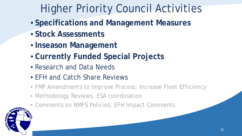# Higher Priority Council Activities

- **Specifications and Management Measures**
- **Stock Assessments**
- **Inseason Management**
- **Currently Funded Special Projects**
- Research and Data Needs
- EFH and Catch Share Reviews
- FMP Amendments to Improve Process, Increase Fleet Efficiency
- Methodology Reviews, ESA coordination
- Comments on NMFS Policies, EFH Impact Comments